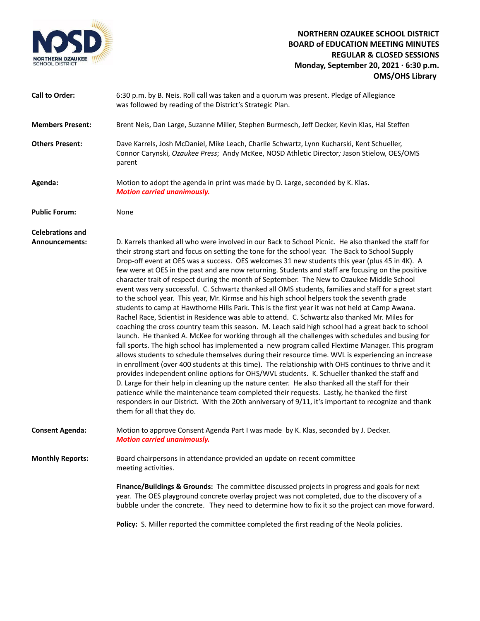

## **NORTHERN OZAUKEE SCHOOL DISTRICT BOARD of EDUCATION MEETING MINUTES REGULAR & CLOSED SESSIONS Monday, September 20, 2021 ∙ 6:30 p.m. OMS/OHS Library**

| <b>Call to Order:</b>                            | 6:30 p.m. by B. Neis. Roll call was taken and a quorum was present. Pledge of Allegiance<br>was followed by reading of the District's Strategic Plan.                                                                                                                                                                                                                                                                                                                                                                                                                                                                                                                                                                                                                                                                                                                                                                                                                                                                                                                                                                                                                                                                                                                                                                                                                                                                                                                                                                                                                                                                                                                                                                                                                                                                                                                                           |
|--------------------------------------------------|-------------------------------------------------------------------------------------------------------------------------------------------------------------------------------------------------------------------------------------------------------------------------------------------------------------------------------------------------------------------------------------------------------------------------------------------------------------------------------------------------------------------------------------------------------------------------------------------------------------------------------------------------------------------------------------------------------------------------------------------------------------------------------------------------------------------------------------------------------------------------------------------------------------------------------------------------------------------------------------------------------------------------------------------------------------------------------------------------------------------------------------------------------------------------------------------------------------------------------------------------------------------------------------------------------------------------------------------------------------------------------------------------------------------------------------------------------------------------------------------------------------------------------------------------------------------------------------------------------------------------------------------------------------------------------------------------------------------------------------------------------------------------------------------------------------------------------------------------------------------------------------------------|
| <b>Members Present:</b>                          | Brent Neis, Dan Large, Suzanne Miller, Stephen Burmesch, Jeff Decker, Kevin Klas, Hal Steffen                                                                                                                                                                                                                                                                                                                                                                                                                                                                                                                                                                                                                                                                                                                                                                                                                                                                                                                                                                                                                                                                                                                                                                                                                                                                                                                                                                                                                                                                                                                                                                                                                                                                                                                                                                                                   |
| <b>Others Present:</b>                           | Dave Karrels, Josh McDaniel, Mike Leach, Charlie Schwartz, Lynn Kucharski, Kent Schueller,<br>Connor Carynski, Ozaukee Press; Andy McKee, NOSD Athletic Director; Jason Stielow, OES/OMS<br>parent                                                                                                                                                                                                                                                                                                                                                                                                                                                                                                                                                                                                                                                                                                                                                                                                                                                                                                                                                                                                                                                                                                                                                                                                                                                                                                                                                                                                                                                                                                                                                                                                                                                                                              |
| Agenda:                                          | Motion to adopt the agenda in print was made by D. Large, seconded by K. Klas.<br><b>Motion carried unanimously.</b>                                                                                                                                                                                                                                                                                                                                                                                                                                                                                                                                                                                                                                                                                                                                                                                                                                                                                                                                                                                                                                                                                                                                                                                                                                                                                                                                                                                                                                                                                                                                                                                                                                                                                                                                                                            |
| <b>Public Forum:</b>                             | None                                                                                                                                                                                                                                                                                                                                                                                                                                                                                                                                                                                                                                                                                                                                                                                                                                                                                                                                                                                                                                                                                                                                                                                                                                                                                                                                                                                                                                                                                                                                                                                                                                                                                                                                                                                                                                                                                            |
| <b>Celebrations and</b><br><b>Announcements:</b> | D. Karrels thanked all who were involved in our Back to School Picnic. He also thanked the staff for<br>their strong start and focus on setting the tone for the school year. The Back to School Supply<br>Drop-off event at OES was a success. OES welcomes 31 new students this year (plus 45 in 4K). A<br>few were at OES in the past and are now returning. Students and staff are focusing on the positive<br>character trait of respect during the month of September. The New to Ozaukee Middle School<br>event was very successful. C. Schwartz thanked all OMS students, families and staff for a great start<br>to the school year. This year, Mr. Kirmse and his high school helpers took the seventh grade<br>students to camp at Hawthorne Hills Park. This is the first year it was not held at Camp Awana.<br>Rachel Race, Scientist in Residence was able to attend. C. Schwartz also thanked Mr. Miles for<br>coaching the cross country team this season. M. Leach said high school had a great back to school<br>launch. He thanked A. McKee for working through all the challenges with schedules and busing for<br>fall sports. The high school has implemented a new program called Flextime Manager. This program<br>allows students to schedule themselves during their resource time. WVL is experiencing an increase<br>in enrollment (over 400 students at this time). The relationship with OHS continues to thrive and it<br>provides independent online options for OHS/WVL students. K. Schueller thanked the staff and<br>D. Large for their help in cleaning up the nature center. He also thanked all the staff for their<br>patience while the maintenance team completed their requests. Lastly, he thanked the first<br>responders in our District. With the 20th anniversary of 9/11, it's important to recognize and thank<br>them for all that they do. |
| <b>Consent Agenda:</b>                           | Motion to approve Consent Agenda Part I was made by K. Klas, seconded by J. Decker.<br><b>Motion carried unanimously.</b>                                                                                                                                                                                                                                                                                                                                                                                                                                                                                                                                                                                                                                                                                                                                                                                                                                                                                                                                                                                                                                                                                                                                                                                                                                                                                                                                                                                                                                                                                                                                                                                                                                                                                                                                                                       |
| <b>Monthly Reports:</b>                          | Board chairpersons in attendance provided an update on recent committee<br>meeting activities.                                                                                                                                                                                                                                                                                                                                                                                                                                                                                                                                                                                                                                                                                                                                                                                                                                                                                                                                                                                                                                                                                                                                                                                                                                                                                                                                                                                                                                                                                                                                                                                                                                                                                                                                                                                                  |
|                                                  | Finance/Buildings & Grounds: The committee discussed projects in progress and goals for next<br>year. The OES playground concrete overlay project was not completed, due to the discovery of a<br>bubble under the concrete. They need to determine how to fix it so the project can move forward.                                                                                                                                                                                                                                                                                                                                                                                                                                                                                                                                                                                                                                                                                                                                                                                                                                                                                                                                                                                                                                                                                                                                                                                                                                                                                                                                                                                                                                                                                                                                                                                              |
|                                                  | Policy: S. Miller reported the committee completed the first reading of the Neola policies.                                                                                                                                                                                                                                                                                                                                                                                                                                                                                                                                                                                                                                                                                                                                                                                                                                                                                                                                                                                                                                                                                                                                                                                                                                                                                                                                                                                                                                                                                                                                                                                                                                                                                                                                                                                                     |